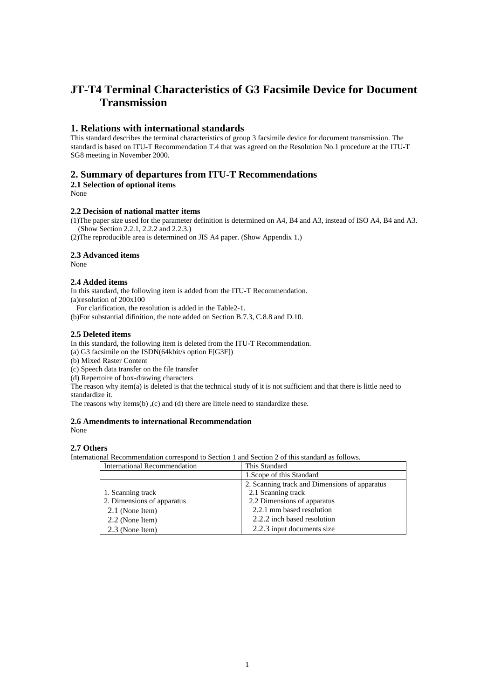# **JT-T4 Terminal Characteristics of G3 Facsimile Device for Document Transmission**

# **1. Relations with international standards**

This standard describes the terminal characteristics of group 3 facsimile device for document transmission. The standard is based on ITU-T Recommendation T.4 that was agreed on the Resolution No.1 procedure at the ITU-T SG8 meeting in November 2000.

# **2. Summary of departures from ITU-T Recommendations**

**2.1 Selection of optional items** 

None

#### **2.2 Decision of national matter items**

(1)The paper size used for the parameter definition is determined on A4, B4 and A3, instead of ISO A4, B4 and A3. (Show Section 2.2.1, 2.2.2 and 2.2.3.)

(2)The reproducible area is determined on JIS A4 paper. (Show Appendix 1.)

## **2.3 Advanced items**

None

## **2.4 Added items**

In this standard, the following item is added from the ITU-T Recommendation. (a)resolution of 200x100

For clarification, the resolution is added in the Table2-1.

(b)For substantial difinition, the note added on Section B.7.3, C.8.8 and D.10.

#### **2.5 Deleted items**

In this standard, the following item is deleted from the ITU-T Recommendation.

(a) G3 facsimile on the ISDN(64kbit/s option F[G3F])

(b) Mixed Raster Content

(c) Speech data transfer on the file transfer

(d) Repertoire of box-drawing characters

The reason why item(a) is deleted is that the technical study of it is not sufficient and that there is little need to standardize it.

The reasons why items(b) ,(c) and (d) there are littele need to standardize these.

#### **2.6 Amendments to international Recommendation** None

## **2.7 Others**

International Recommendation correspond to Section 1 and Section 2 of this standard as follows.

| International Recommendation | This Standard                                 |
|------------------------------|-----------------------------------------------|
|                              | 1. Scope of this Standard                     |
|                              | 2. Scanning track and Dimensions of apparatus |
| 1. Scanning track            | 2.1 Scanning track                            |
| 2. Dimensions of apparatus   | 2.2 Dimensions of apparatus                   |
| 2.1 (None Item)              | 2.2.1 mm based resolution                     |
| 2.2 (None Item)              | 2.2.2 inch based resolution                   |
| 2.3 (None Item)              | 2.2.3 input documents size                    |